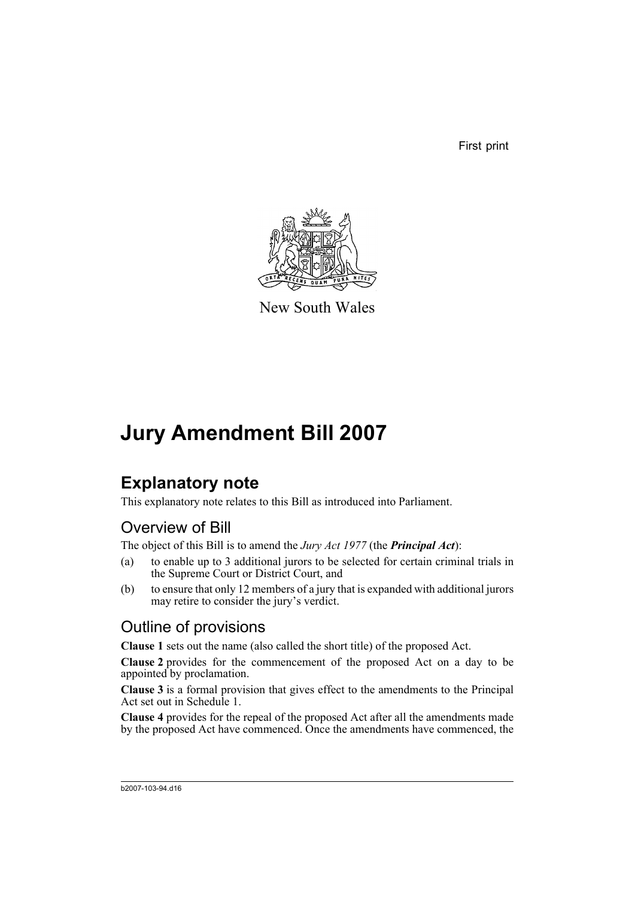First print



New South Wales

## **Jury Amendment Bill 2007**

## **Explanatory note**

This explanatory note relates to this Bill as introduced into Parliament.

### Overview of Bill

The object of this Bill is to amend the *Jury Act 1977* (the *Principal Act*):

- (a) to enable up to 3 additional jurors to be selected for certain criminal trials in the Supreme Court or District Court, and
- (b) to ensure that only 12 members of a jury that is expanded with additional jurors may retire to consider the jury's verdict.

### Outline of provisions

**Clause 1** sets out the name (also called the short title) of the proposed Act.

**Clause 2** provides for the commencement of the proposed Act on a day to be appointed by proclamation.

**Clause 3** is a formal provision that gives effect to the amendments to the Principal Act set out in Schedule 1.

**Clause 4** provides for the repeal of the proposed Act after all the amendments made by the proposed Act have commenced. Once the amendments have commenced, the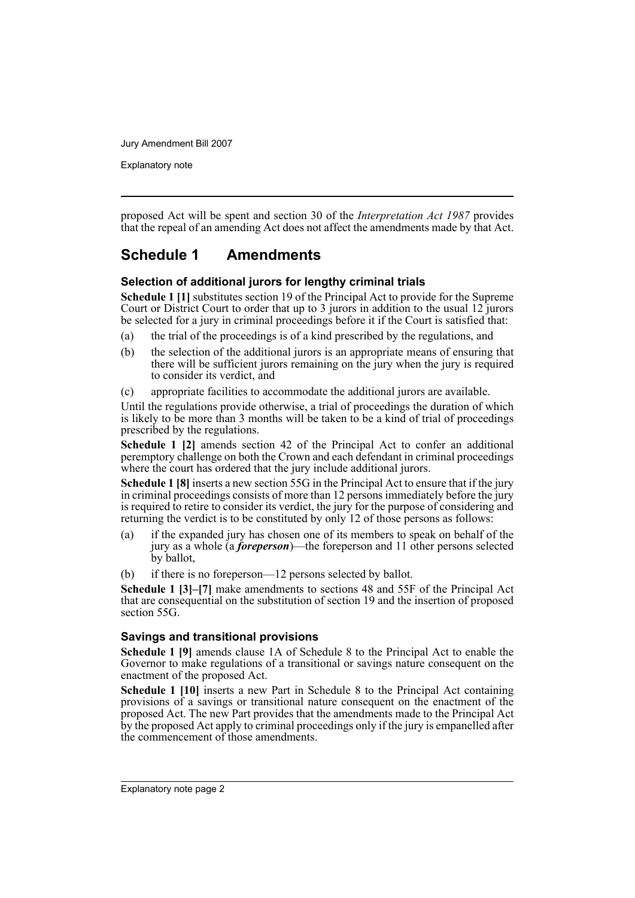Explanatory note

proposed Act will be spent and section 30 of the *Interpretation Act 1987* provides that the repeal of an amending Act does not affect the amendments made by that Act.

### **Schedule 1 Amendments**

#### **Selection of additional jurors for lengthy criminal trials**

**Schedule 1 [1]** substitutes section 19 of the Principal Act to provide for the Supreme Court or District Court to order that up to 3 jurors in addition to the usual 12 jurors be selected for a jury in criminal proceedings before it if the Court is satisfied that:

- (a) the trial of the proceedings is of a kind prescribed by the regulations, and
- (b) the selection of the additional jurors is an appropriate means of ensuring that there will be sufficient jurors remaining on the jury when the jury is required to consider its verdict, and
- (c) appropriate facilities to accommodate the additional jurors are available.

Until the regulations provide otherwise, a trial of proceedings the duration of which is likely to be more than 3 months will be taken to be a kind of trial of proceedings prescribed by the regulations.

**Schedule 1 [2]** amends section 42 of the Principal Act to confer an additional peremptory challenge on both the Crown and each defendant in criminal proceedings where the court has ordered that the jury include additional jurors.

**Schedule 1 [8]** inserts a new section 55G in the Principal Act to ensure that if the jury in criminal proceedings consists of more than 12 persons immediately before the jury is required to retire to consider its verdict, the jury for the purpose of considering and returning the verdict is to be constituted by only 12 of those persons as follows:

- (a) if the expanded jury has chosen one of its members to speak on behalf of the jury as a whole (a *foreperson*)—the foreperson and 11 other persons selected by ballot,
- (b) if there is no foreperson—12 persons selected by ballot.

**Schedule 1 [3]–[7]** make amendments to sections 48 and 55F of the Principal Act that are consequential on the substitution of section 19 and the insertion of proposed section 55G.

#### **Savings and transitional provisions**

**Schedule 1 [9]** amends clause 1A of Schedule 8 to the Principal Act to enable the Governor to make regulations of a transitional or savings nature consequent on the enactment of the proposed Act.

**Schedule 1 [10]** inserts a new Part in Schedule 8 to the Principal Act containing provisions of a savings or transitional nature consequent on the enactment of the proposed Act. The new Part provides that the amendments made to the Principal Act by the proposed Act apply to criminal proceedings only if the jury is empanelled after the commencement of those amendments.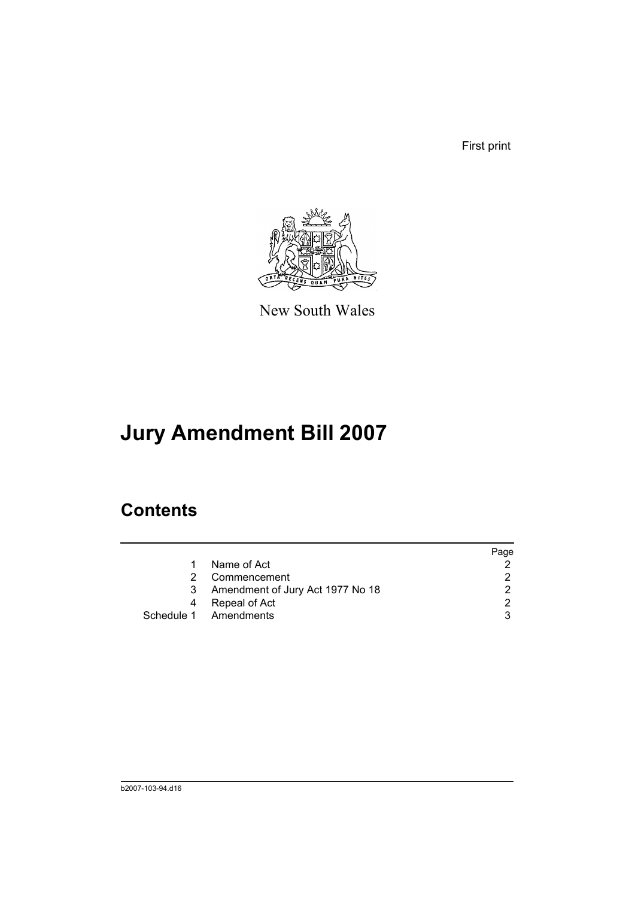First print



New South Wales

# **Jury Amendment Bill 2007**

## **Contents**

|    |                                    | Page |
|----|------------------------------------|------|
| 1  | Name of Act                        |      |
| 2. | Commencement                       |      |
|    | 3 Amendment of Jury Act 1977 No 18 |      |
| 4  | Repeal of Act                      | ົ    |
|    | Schedule 1 Amendments              |      |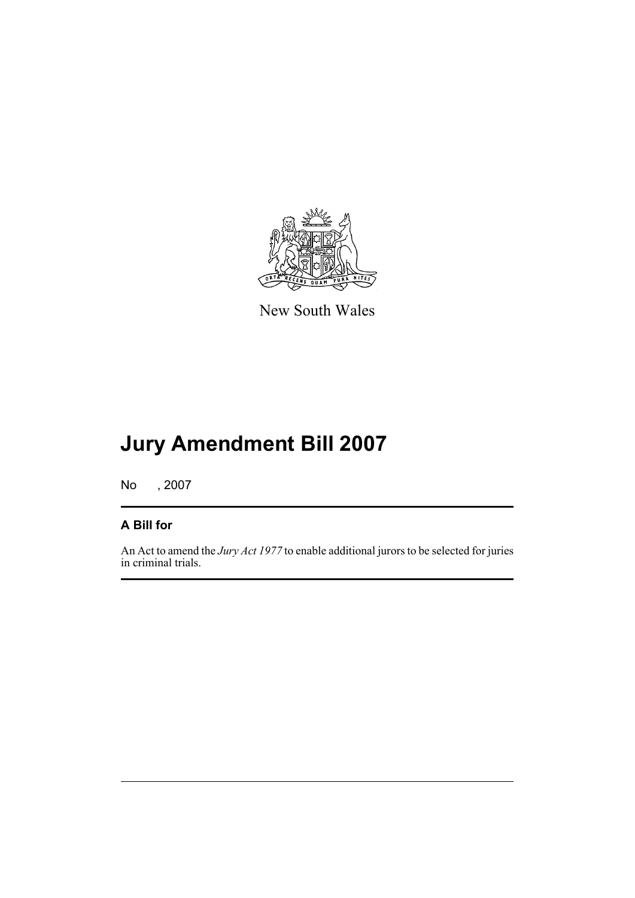

New South Wales

# **Jury Amendment Bill 2007**

No , 2007

### **A Bill for**

An Act to amend the *Jury Act 1977* to enable additional jurors to be selected for juries in criminal trials.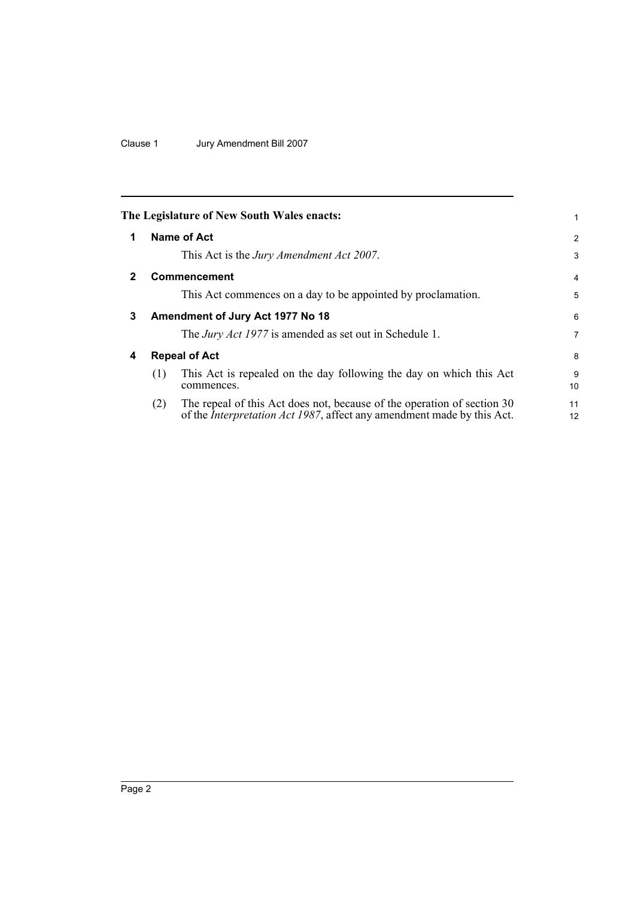### Clause 1 Jury Amendment Bill 2007

<span id="page-5-3"></span><span id="page-5-2"></span><span id="page-5-1"></span><span id="page-5-0"></span>

|              |                                  | The Legislature of New South Wales enacts:                                                                                                                | 1              |
|--------------|----------------------------------|-----------------------------------------------------------------------------------------------------------------------------------------------------------|----------------|
| 1.           |                                  | Name of Act                                                                                                                                               | $\overline{2}$ |
|              |                                  | This Act is the <i>Jury Amendment Act 2007</i> .                                                                                                          | 3              |
| $\mathbf{2}$ |                                  | <b>Commencement</b>                                                                                                                                       | $\overline{4}$ |
|              |                                  | This Act commences on a day to be appointed by proclamation.                                                                                              | 5              |
| 3            | Amendment of Jury Act 1977 No 18 |                                                                                                                                                           | 6              |
|              |                                  | The <i>Jury Act 1977</i> is amended as set out in Schedule 1.                                                                                             | 7              |
| 4            |                                  | <b>Repeal of Act</b>                                                                                                                                      | 8              |
|              | (1)                              | This Act is repealed on the day following the day on which this Act<br>commences.                                                                         | 9<br>10        |
|              | (2)                              | The repeal of this Act does not, because of the operation of section 30<br>of the <i>Interpretation Act 1987</i> , affect any amendment made by this Act. | 11<br>12       |
|              |                                  |                                                                                                                                                           |                |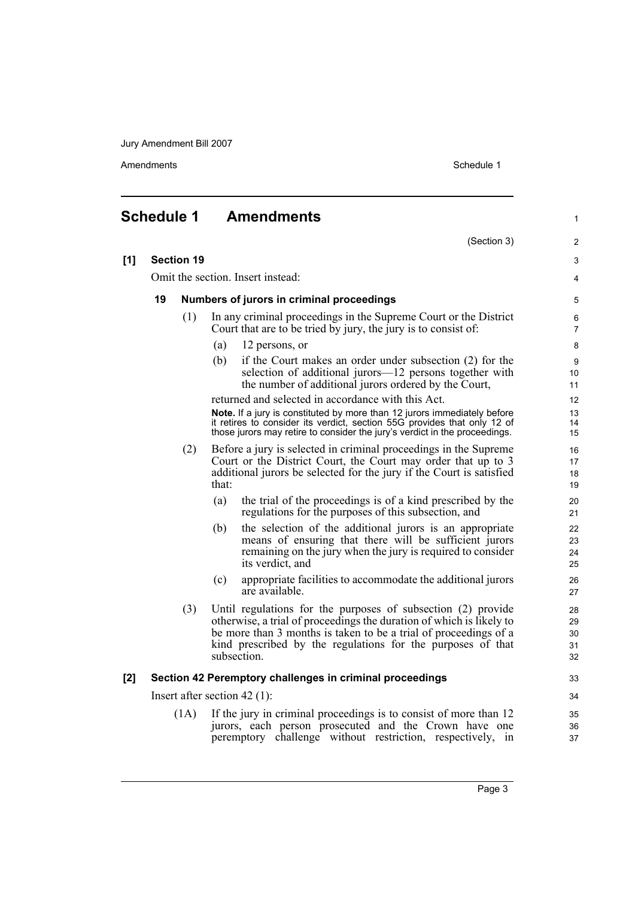Amendments Schedule 1

<span id="page-6-0"></span>

|     | <b>Schedule 1</b> | <b>Amendments</b>                                                                                                                                                                                                                                                                      | 1                          |
|-----|-------------------|----------------------------------------------------------------------------------------------------------------------------------------------------------------------------------------------------------------------------------------------------------------------------------------|----------------------------|
|     |                   | (Section 3)                                                                                                                                                                                                                                                                            | $\overline{2}$             |
| [1] | <b>Section 19</b> |                                                                                                                                                                                                                                                                                        | 3                          |
|     |                   | Omit the section. Insert instead:                                                                                                                                                                                                                                                      | 4                          |
|     | 19                | Numbers of jurors in criminal proceedings                                                                                                                                                                                                                                              | 5                          |
|     | (1)               | In any criminal proceedings in the Supreme Court or the District<br>Court that are to be tried by jury, the jury is to consist of:                                                                                                                                                     | 6<br>$\overline{7}$        |
|     |                   | (a)<br>12 persons, or                                                                                                                                                                                                                                                                  | 8                          |
|     |                   | if the Court makes an order under subsection (2) for the<br>(b)<br>selection of additional jurors—12 persons together with<br>the number of additional jurors ordered by the Court,                                                                                                    | 9<br>10 <sup>°</sup><br>11 |
|     |                   | returned and selected in accordance with this Act.                                                                                                                                                                                                                                     | 12 <sup>2</sup>            |
|     |                   | Note. If a jury is constituted by more than 12 jurors immediately before<br>it retires to consider its verdict, section 55G provides that only 12 of<br>those jurors may retire to consider the jury's verdict in the proceedings.                                                     | 13<br>14<br>15             |
|     | (2)               | Before a jury is selected in criminal proceedings in the Supreme<br>Court or the District Court, the Court may order that up to 3<br>additional jurors be selected for the jury if the Court is satisfied<br>that:                                                                     | 16<br>17<br>18<br>19       |
|     |                   | the trial of the proceedings is of a kind prescribed by the<br>(a)<br>regulations for the purposes of this subsection, and                                                                                                                                                             | 20<br>21                   |
|     |                   | the selection of the additional jurors is an appropriate<br>(b)<br>means of ensuring that there will be sufficient jurors<br>remaining on the jury when the jury is required to consider<br>its verdict, and                                                                           | 22<br>23<br>24<br>25       |
|     |                   | appropriate facilities to accommodate the additional jurors<br>(c)<br>are available.                                                                                                                                                                                                   | 26<br>27                   |
|     | (3)               | Until regulations for the purposes of subsection (2) provide<br>otherwise, a trial of proceedings the duration of which is likely to<br>be more than 3 months is taken to be a trial of proceedings of a<br>kind prescribed by the regulations for the purposes of that<br>subsection. | 28<br>29<br>30<br>31<br>32 |
| [2] |                   | Section 42 Peremptory challenges in criminal proceedings                                                                                                                                                                                                                               | 33                         |
|     |                   | Insert after section $42$ (1):                                                                                                                                                                                                                                                         | 34                         |
|     | (1A)              | If the jury in criminal proceedings is to consist of more than 12<br>jurors, each person prosecuted and the Crown have one<br>peremptory challenge without restriction, respectively, in                                                                                               | 35<br>36<br>37             |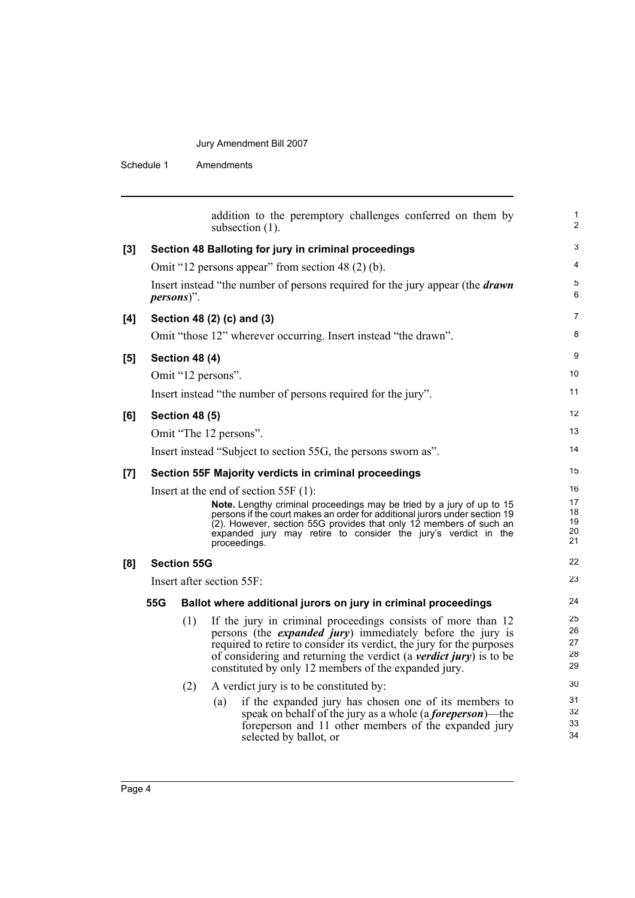Schedule 1 Amendments

| addition to the peremptory challenges conferred on them by<br>subsection $(1)$ .<br>Section 48 Balloting for jury in criminal proceedings<br>$[3]$<br>Omit "12 persons appear" from section 48 (2) (b).<br>Insert instead "the number of persons required for the jury appear (the <i>drawn</i><br><i>persons</i> )".<br>Section 48 (2) (c) and (3)<br>[4]<br>Omit "those 12" wherever occurring. Insert instead "the drawn".<br>[5]<br>Section 48 (4)<br>Omit "12 persons".<br>Insert instead "the number of persons required for the jury".<br>[6]<br><b>Section 48 (5)</b><br>Omit "The 12 persons".<br>Insert instead "Subject to section 55G, the persons sworn as".<br>Section 55F Majority verdicts in criminal proceedings<br>[7]<br>Insert at the end of section $55F(1)$ :<br>Note. Lengthy criminal proceedings may be tried by a jury of up to 15<br>persons if the court makes an order for additional jurors under section 19<br>(2). However, section 55G provides that only 12 members of such an<br>expanded jury may retire to consider the jury's verdict in the<br>proceedings.<br><b>Section 55G</b><br>[8]<br>Insert after section 55F:<br>55G<br>Ballot where additional jurors on jury in criminal proceedings<br>If the jury in criminal proceedings consists of more than 12<br>(1)<br>persons (the <i>expanded jury</i> ) immediately before the jury is<br>required to retire to consider its verdict, the jury for the purposes<br>of considering and returning the verdict (a <i>verdict jury</i> ) is to be<br>constituted by only 12 members of the expanded jury.<br>(2)<br>A verdict jury is to be constituted by:<br>if the expanded jury has chosen one of its members to<br>(a)<br>speak on behalf of the jury as a whole (a <i>foreperson</i> )—the<br>foreperson and 11 other members of the expanded jury<br>selected by ballot, or |  |  |                            |
|-----------------------------------------------------------------------------------------------------------------------------------------------------------------------------------------------------------------------------------------------------------------------------------------------------------------------------------------------------------------------------------------------------------------------------------------------------------------------------------------------------------------------------------------------------------------------------------------------------------------------------------------------------------------------------------------------------------------------------------------------------------------------------------------------------------------------------------------------------------------------------------------------------------------------------------------------------------------------------------------------------------------------------------------------------------------------------------------------------------------------------------------------------------------------------------------------------------------------------------------------------------------------------------------------------------------------------------------------------------------------------------------------------------------------------------------------------------------------------------------------------------------------------------------------------------------------------------------------------------------------------------------------------------------------------------------------------------------------------------------------------------------------------------------------------------------------------------------------------------------------------|--|--|----------------------------|
|                                                                                                                                                                                                                                                                                                                                                                                                                                                                                                                                                                                                                                                                                                                                                                                                                                                                                                                                                                                                                                                                                                                                                                                                                                                                                                                                                                                                                                                                                                                                                                                                                                                                                                                                                                                                                                                                             |  |  | 1<br>$\overline{2}$        |
|                                                                                                                                                                                                                                                                                                                                                                                                                                                                                                                                                                                                                                                                                                                                                                                                                                                                                                                                                                                                                                                                                                                                                                                                                                                                                                                                                                                                                                                                                                                                                                                                                                                                                                                                                                                                                                                                             |  |  | 3                          |
|                                                                                                                                                                                                                                                                                                                                                                                                                                                                                                                                                                                                                                                                                                                                                                                                                                                                                                                                                                                                                                                                                                                                                                                                                                                                                                                                                                                                                                                                                                                                                                                                                                                                                                                                                                                                                                                                             |  |  | 4                          |
|                                                                                                                                                                                                                                                                                                                                                                                                                                                                                                                                                                                                                                                                                                                                                                                                                                                                                                                                                                                                                                                                                                                                                                                                                                                                                                                                                                                                                                                                                                                                                                                                                                                                                                                                                                                                                                                                             |  |  | 5<br>6                     |
|                                                                                                                                                                                                                                                                                                                                                                                                                                                                                                                                                                                                                                                                                                                                                                                                                                                                                                                                                                                                                                                                                                                                                                                                                                                                                                                                                                                                                                                                                                                                                                                                                                                                                                                                                                                                                                                                             |  |  | $\overline{7}$             |
|                                                                                                                                                                                                                                                                                                                                                                                                                                                                                                                                                                                                                                                                                                                                                                                                                                                                                                                                                                                                                                                                                                                                                                                                                                                                                                                                                                                                                                                                                                                                                                                                                                                                                                                                                                                                                                                                             |  |  | 8                          |
|                                                                                                                                                                                                                                                                                                                                                                                                                                                                                                                                                                                                                                                                                                                                                                                                                                                                                                                                                                                                                                                                                                                                                                                                                                                                                                                                                                                                                                                                                                                                                                                                                                                                                                                                                                                                                                                                             |  |  | 9                          |
|                                                                                                                                                                                                                                                                                                                                                                                                                                                                                                                                                                                                                                                                                                                                                                                                                                                                                                                                                                                                                                                                                                                                                                                                                                                                                                                                                                                                                                                                                                                                                                                                                                                                                                                                                                                                                                                                             |  |  | 10                         |
|                                                                                                                                                                                                                                                                                                                                                                                                                                                                                                                                                                                                                                                                                                                                                                                                                                                                                                                                                                                                                                                                                                                                                                                                                                                                                                                                                                                                                                                                                                                                                                                                                                                                                                                                                                                                                                                                             |  |  | 11                         |
|                                                                                                                                                                                                                                                                                                                                                                                                                                                                                                                                                                                                                                                                                                                                                                                                                                                                                                                                                                                                                                                                                                                                                                                                                                                                                                                                                                                                                                                                                                                                                                                                                                                                                                                                                                                                                                                                             |  |  | 12                         |
|                                                                                                                                                                                                                                                                                                                                                                                                                                                                                                                                                                                                                                                                                                                                                                                                                                                                                                                                                                                                                                                                                                                                                                                                                                                                                                                                                                                                                                                                                                                                                                                                                                                                                                                                                                                                                                                                             |  |  | 13                         |
|                                                                                                                                                                                                                                                                                                                                                                                                                                                                                                                                                                                                                                                                                                                                                                                                                                                                                                                                                                                                                                                                                                                                                                                                                                                                                                                                                                                                                                                                                                                                                                                                                                                                                                                                                                                                                                                                             |  |  | 14                         |
|                                                                                                                                                                                                                                                                                                                                                                                                                                                                                                                                                                                                                                                                                                                                                                                                                                                                                                                                                                                                                                                                                                                                                                                                                                                                                                                                                                                                                                                                                                                                                                                                                                                                                                                                                                                                                                                                             |  |  | 15                         |
|                                                                                                                                                                                                                                                                                                                                                                                                                                                                                                                                                                                                                                                                                                                                                                                                                                                                                                                                                                                                                                                                                                                                                                                                                                                                                                                                                                                                                                                                                                                                                                                                                                                                                                                                                                                                                                                                             |  |  | 16                         |
|                                                                                                                                                                                                                                                                                                                                                                                                                                                                                                                                                                                                                                                                                                                                                                                                                                                                                                                                                                                                                                                                                                                                                                                                                                                                                                                                                                                                                                                                                                                                                                                                                                                                                                                                                                                                                                                                             |  |  | 17<br>18<br>19<br>20<br>21 |
|                                                                                                                                                                                                                                                                                                                                                                                                                                                                                                                                                                                                                                                                                                                                                                                                                                                                                                                                                                                                                                                                                                                                                                                                                                                                                                                                                                                                                                                                                                                                                                                                                                                                                                                                                                                                                                                                             |  |  | 22                         |
|                                                                                                                                                                                                                                                                                                                                                                                                                                                                                                                                                                                                                                                                                                                                                                                                                                                                                                                                                                                                                                                                                                                                                                                                                                                                                                                                                                                                                                                                                                                                                                                                                                                                                                                                                                                                                                                                             |  |  | 23                         |
|                                                                                                                                                                                                                                                                                                                                                                                                                                                                                                                                                                                                                                                                                                                                                                                                                                                                                                                                                                                                                                                                                                                                                                                                                                                                                                                                                                                                                                                                                                                                                                                                                                                                                                                                                                                                                                                                             |  |  | 24                         |
|                                                                                                                                                                                                                                                                                                                                                                                                                                                                                                                                                                                                                                                                                                                                                                                                                                                                                                                                                                                                                                                                                                                                                                                                                                                                                                                                                                                                                                                                                                                                                                                                                                                                                                                                                                                                                                                                             |  |  | 25<br>26<br>27<br>28<br>29 |
|                                                                                                                                                                                                                                                                                                                                                                                                                                                                                                                                                                                                                                                                                                                                                                                                                                                                                                                                                                                                                                                                                                                                                                                                                                                                                                                                                                                                                                                                                                                                                                                                                                                                                                                                                                                                                                                                             |  |  | 30                         |
|                                                                                                                                                                                                                                                                                                                                                                                                                                                                                                                                                                                                                                                                                                                                                                                                                                                                                                                                                                                                                                                                                                                                                                                                                                                                                                                                                                                                                                                                                                                                                                                                                                                                                                                                                                                                                                                                             |  |  | 31<br>32<br>33<br>34       |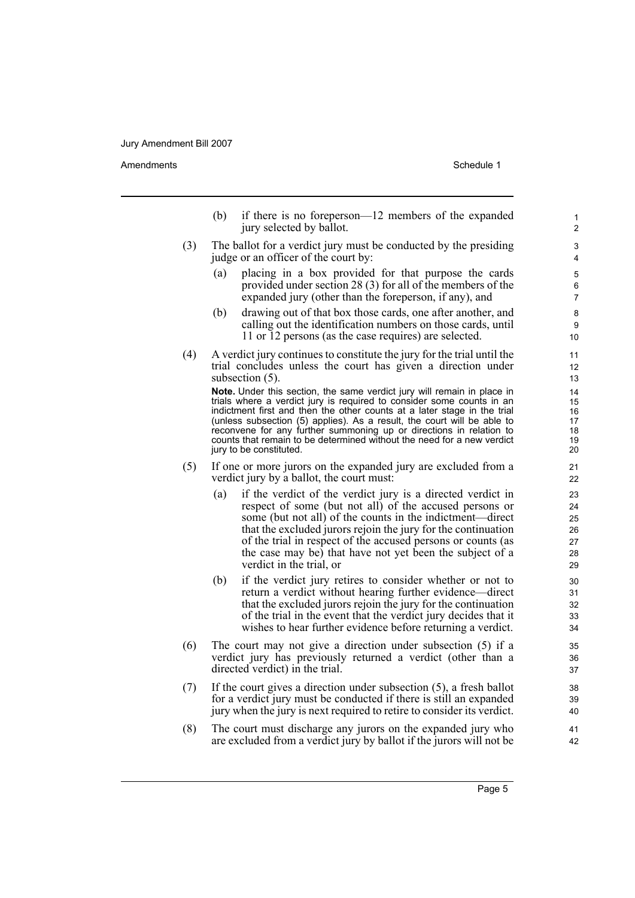Amendments **Amendments** Schedule 1

- (b) if there is no foreperson—12 members of the expanded jury selected by ballot.
- (3) The ballot for a verdict jury must be conducted by the presiding judge or an officer of the court by:
	- (a) placing in a box provided for that purpose the cards provided under section 28 (3) for all of the members of the expanded jury (other than the foreperson, if any), and
	- (b) drawing out of that box those cards, one after another, and calling out the identification numbers on those cards, until 11 or 12 persons (as the case requires) are selected.
- (4) A verdict jury continues to constitute the jury for the trial until the trial concludes unless the court has given a direction under subsection  $(5)$ .

**Note.** Under this section, the same verdict jury will remain in place in trials where a verdict jury is required to consider some counts in an indictment first and then the other counts at a later stage in the trial (unless subsection (5) applies). As a result, the court will be able to reconvene for any further summoning up or directions in relation to counts that remain to be determined without the need for a new verdict jury to be constituted.

- (5) If one or more jurors on the expanded jury are excluded from a verdict jury by a ballot, the court must:
	- (a) if the verdict of the verdict jury is a directed verdict in respect of some (but not all) of the accused persons or some (but not all) of the counts in the indictment—direct that the excluded jurors rejoin the jury for the continuation of the trial in respect of the accused persons or counts (as the case may be) that have not yet been the subject of a verdict in the trial, or
	- (b) if the verdict jury retires to consider whether or not to return a verdict without hearing further evidence—direct that the excluded jurors rejoin the jury for the continuation of the trial in the event that the verdict jury decides that it wishes to hear further evidence before returning a verdict.
- (6) The court may not give a direction under subsection (5) if a verdict jury has previously returned a verdict (other than a directed verdict) in the trial.
- (7) If the court gives a direction under subsection (5), a fresh ballot for a verdict jury must be conducted if there is still an expanded jury when the jury is next required to retire to consider its verdict.
- (8) The court must discharge any jurors on the expanded jury who are excluded from a verdict jury by ballot if the jurors will not be